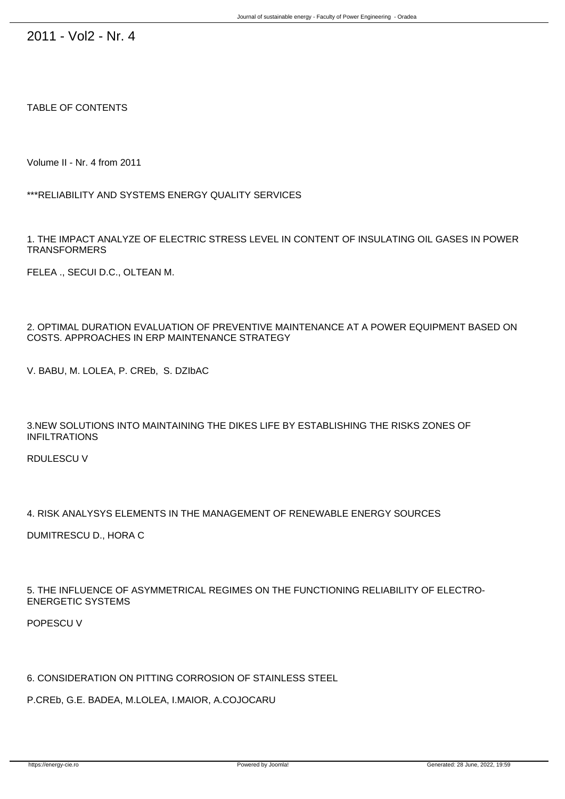2011 - Vol2 - Nr. 4

TABLE OF CONTENTS

Volume II - Nr. 4 from 2011

\*\*\*RELIABILITY AND SYSTEMS ENERGY QUALITY SERVICES

1. THE IMPACT ANALYZE OF ELECTRIC STRESS LEVEL IN CONTENT OF INSULATING OIL GASES IN POWER **TRANSFORMERS** 

FELEA ., SECUI D.C., OLTEAN M.

2. OPTIMAL DURATION EVALUATION OF PREVENTIVE MAINTENANCE AT A POWER EQUIPMENT BASED ON COSTS. APPROACHES IN ERP MAINTENANCE STRATEGY

V. BAB-U, M. LOLEA, P. CREb, S. DZIbAC

3.NEW SOLUTIONS INTO MAINTAINING THE DIKES LIFE BY ESTABLISHING THE RISKS ZONES OF INFILTRATIONS

R-DULESCU V

4. RISK ANALYSYS ELEMENTS IN THE MANAGEMENT OF RENEWABLE ENERGY SOURCES

DUMITRESCU D., HORA C

5. THE INFLUENCE OF ASYMMETRICAL REGIMES ON THE FUNCTIONING RELIABILITY OF ELECTRO-ENERGETIC SYSTEMS

POPESCU V

6. CONSIDERATION ON PITTING CORROSION OF STAINLESS STEEL

P.CREb, G.E. BADEA, M.LOLEA, I.MAIOR, A.COJOCARU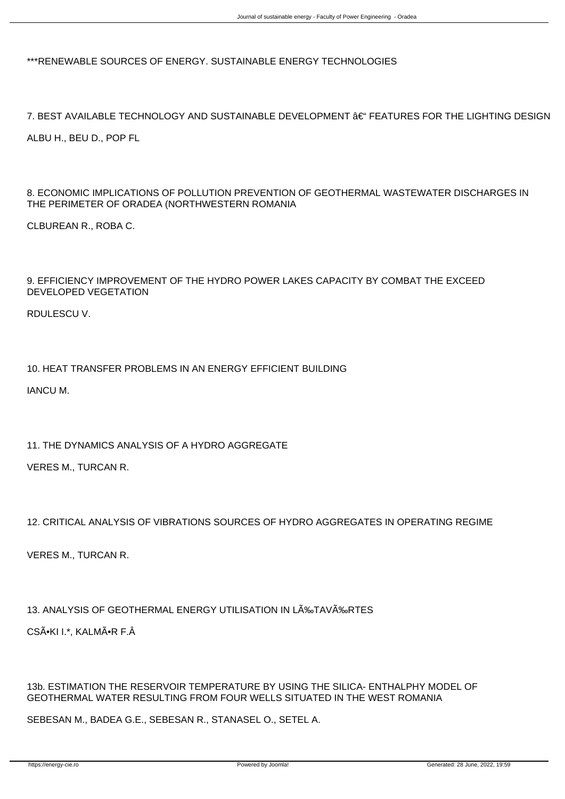\*\*\*RENEWABLE SOURCES OF ENERGY. SUSTAINABLE ENERGY TECHNOLOGIES

7. BEST AVAILABLE TECHNOLOGY AND SUSTAINABLE DEVELOPMENT – FEATURES FOR THE LIGHTING DESIGN ALBU H., BEU D., POP FL

8. ECONOMIC IMPLICATIONS OF POLLUTION PREVENTION OF GEOTHERMAL WASTEWATER DISCHARGES IN THE PERIMETER OF ORADEA (NORTHWESTERN ROMANIA

C-LBUREAN R., ROBA C.

## 9. EFFICIENCY IMPROVEMENT OF THE HYDRO POWER LAKES CAPACITY BY COMBAT THE EXCEED DEVELOPED VEGETATION

R-DULESCU V.

10. HEAT TRANSFER PROBLEMS IN AN ENERGY EFFICIENT BUILDING

IANC-U M.

11. THE DYNAMICS ANALYSIS OF A HYDRO AGGREGATE

VERES M., TURCAN R.

## 12. CRITICAL ANALYSIS OF VIBRATIONS SOURCES OF HYDRO AGGREGATES IN OPERATING REGIME

VERES M., TURCAN R.

## 13. ANALYSIS OF GEOTHERMAL ENERGY UTILISATION IN LÉTAVÉRTES

CSÕKI I.\*, KALMÕR F.Â

13b. ESTIMATION THE RESERVOIR TEMPERATURE BY USING THE SILICA- ENTHALPHY MODEL OF GEOTHERMAL WATER RESULTING FROM FOUR WELLS SITUATED IN THE WEST ROMANIA

SEBESAN M., BADEA G.E., SEBESAN R., STANASEL O., SETEL A.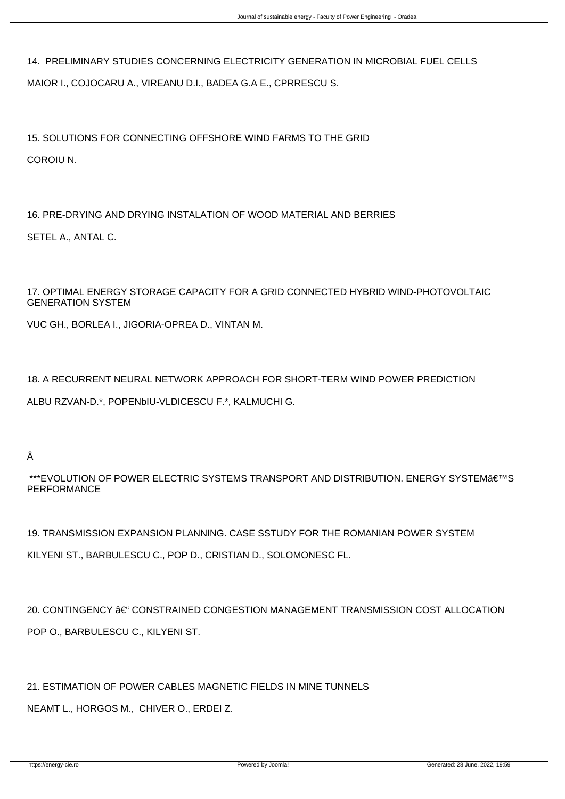14. PRELIMINARY STUDIES CONCERNING ELECTRICITY GENERATION IN MICROBIAL FUEL CELLS

MAIOR I., COJOCARU A., V IREANU D.I., BADEA G.A E., C PR RESCU S.

15. SOLUTIONS FOR CONNECTING OFFSHORE WIND FARMS TO THE GRID COROIU N.

16. PRE-DRYING AND DRYING INSTALATION OF WOOD MATERIAL AND BERRIES

SETEL A., ANTAL C.

17. OPTIMAL ENERGY STORAGE CAPACITY FOR A GRID CONNECTED HYBRID WIND-PHOTOVOLTAIC GENERATION SYSTEM

VUC GH., BORLEA I., JIGORIA-OPREA D., VINTAN M.

18. A RECURRENT NEURAL NETWORK APPROACH FOR SHORT-TERM WIND POWER PREDICTION

ALBU R-ZVAN-D.\*, POPENbIU-VL-DICESCU F.\*, KALMUCHI G.

Â

\*\*\*EVOLUTION OF POWER ELECTRIC SYSTEMS TRANSPORT AND DISTRIBUTION. ENERGY SYSTEM'S PERFORMANCE

19. TRANSMISSION EXPANSION PLANNING. CASE SSTUDY FOR THE ROMANIAN POWER SYSTEM KILYENI ST., BARBULESCU C., POP D., CRISTIAN D., SOLOMONESC FL.

20. CONTINGENCY  $A \in \mathcal{C}$  CONSTRAINED CONGESTION MANAGEMENT TRANSMISSION COST ALLOCATION POP O., BARBULESCU C., KILYENI ST.

21. ESTIMATION OF POWER CABLES MAGNETIC FIELDS IN MINE TUNNELS

NEAMT L., HORGOS M., CHIVER O., ERDEI Z.